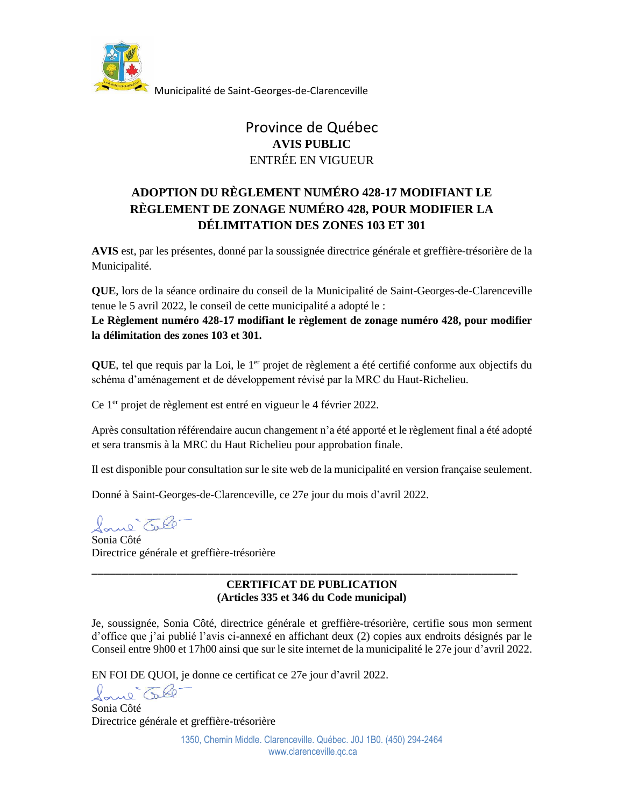

Municipalité de Saint-Georges-de-Clarenceville

# Province de Québec **AVIS PUBLIC** ENTRÉE EN VIGUEUR

## **ADOPTION DU RÈGLEMENT NUMÉRO 428-17 MODIFIANT LE RÈGLEMENT DE ZONAGE NUMÉRO 428, POUR MODIFIER LA DÉLIMITATION DES ZONES 103 ET 301**

**AVIS** est, par les présentes, donné par la soussignée directrice générale et greffière-trésorière de la Municipalité.

**QUE**, lors de la séance ordinaire du conseil de la Municipalité de Saint-Georges-de-Clarenceville tenue le 5 avril 2022, le conseil de cette municipalité a adopté le :

**Le Règlement numéro 428-17 modifiant le règlement de zonage numéro 428, pour modifier la délimitation des zones 103 et 301.**

QUE, tel que requis par la Loi, le 1<sup>er</sup> projet de règlement a été certifié conforme aux objectifs du schéma d'aménagement et de développement révisé par la MRC du Haut-Richelieu.

Ce 1<sup>er</sup> projet de règlement est entré en vigueur le 4 février 2022.

Après consultation référendaire aucun changement n'a été apporté et le règlement final a été adopté et sera transmis à la MRC du Haut Richelieu pour approbation finale.

Il est disponible pour consultation sur le site web de la municipalité en version française seulement.

Donné à Saint-Georges-de-Clarenceville, ce 27e jour du mois d'avril 2022.

Saul Tell-

Sonia Côté Directrice générale et greffière-trésorière

### **CERTIFICAT DE PUBLICATION (Articles 335 et 346 du Code municipal)**

\_\_\_\_\_\_\_\_\_\_\_\_\_\_\_\_\_\_\_\_\_\_\_\_\_\_\_\_\_\_\_\_\_\_\_\_\_\_\_\_\_\_\_\_\_\_\_\_\_\_\_\_\_\_\_\_\_\_\_\_\_\_\_\_\_\_\_\_\_\_

Je, soussignée, Sonia Côté, directrice générale et greffière-trésorière, certifie sous mon serment d'office que j'ai publié l'avis ci-annexé en affichant deux (2) copies aux endroits désignés par le Conseil entre 9h00 et 17h00 ainsi que sur le site internet de la municipalité le 27e jour d'avril 2022.

EN FOI DE QUOI, je donne ce certificat ce 27e jour d'avril 2022.

Sane Tel

Sonia Côté Directrice générale et greffière-trésorière

> 1350, Chemin Middle. Clarenceville. Québec. J0J 1B0. (450) 294-2464 www.clarenceville.qc.ca